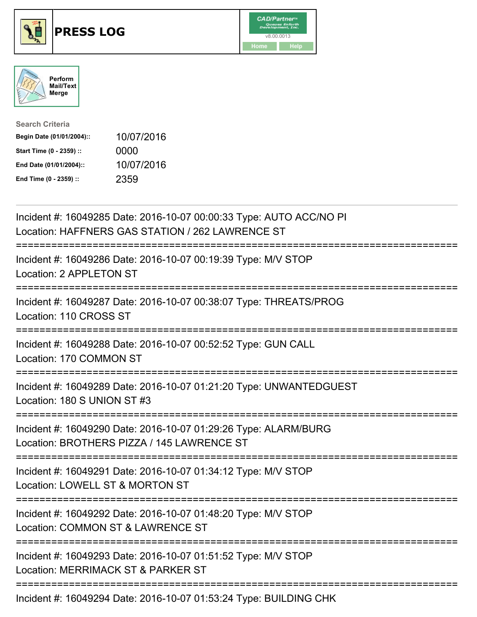





| <b>Search Criteria</b>    |            |
|---------------------------|------------|
| Begin Date (01/01/2004):: | 10/07/2016 |
| Start Time (0 - 2359) ::  | 0000       |
| End Date (01/01/2004)::   | 10/07/2016 |
| End Time (0 - 2359) ::    | 2359       |

| Incident #: 16049285 Date: 2016-10-07 00:00:33 Type: AUTO ACC/NO PI<br>Location: HAFFNERS GAS STATION / 262 LAWRENCE ST            |
|------------------------------------------------------------------------------------------------------------------------------------|
| Incident #: 16049286 Date: 2016-10-07 00:19:39 Type: M/V STOP<br>Location: 2 APPLETON ST                                           |
| Incident #: 16049287 Date: 2016-10-07 00:38:07 Type: THREATS/PROG<br>Location: 110 CROSS ST                                        |
| Incident #: 16049288 Date: 2016-10-07 00:52:52 Type: GUN CALL<br>Location: 170 COMMON ST                                           |
| Incident #: 16049289 Date: 2016-10-07 01:21:20 Type: UNWANTEDGUEST<br>Location: 180 S UNION ST #3<br>---------------               |
| Incident #: 16049290 Date: 2016-10-07 01:29:26 Type: ALARM/BURG<br>Location: BROTHERS PIZZA / 145 LAWRENCE ST                      |
| Incident #: 16049291 Date: 2016-10-07 01:34:12 Type: M/V STOP<br>Location: LOWELL ST & MORTON ST                                   |
| ==========================<br>Incident #: 16049292 Date: 2016-10-07 01:48:20 Type: M/V STOP<br>Location: COMMON ST & LAWRENCE ST   |
| ===========================<br>Incident #: 16049293 Date: 2016-10-07 01:51:52 Type: M/V STOP<br>Location: MERRIMACK ST & PARKER ST |
| Incident #: 16049294 Date: 2016-10-07 01:53:24 Type: BUILDING CHK                                                                  |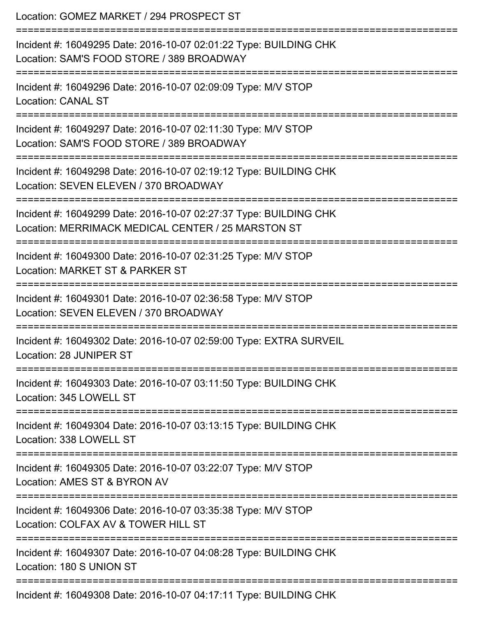| Location: GOMEZ MARKET / 294 PROSPECT ST<br>:=================                                                                              |
|---------------------------------------------------------------------------------------------------------------------------------------------|
| Incident #: 16049295 Date: 2016-10-07 02:01:22 Type: BUILDING CHK<br>Location: SAM'S FOOD STORE / 389 BROADWAY<br>-----------------         |
| Incident #: 16049296 Date: 2016-10-07 02:09:09 Type: M/V STOP<br><b>Location: CANAL ST</b>                                                  |
| Incident #: 16049297 Date: 2016-10-07 02:11:30 Type: M/V STOP<br>Location: SAM'S FOOD STORE / 389 BROADWAY                                  |
| ============================<br>Incident #: 16049298 Date: 2016-10-07 02:19:12 Type: BUILDING CHK<br>Location: SEVEN ELEVEN / 370 BROADWAY  |
| Incident #: 16049299 Date: 2016-10-07 02:27:37 Type: BUILDING CHK<br>Location: MERRIMACK MEDICAL CENTER / 25 MARSTON ST<br>---------------- |
| ======================<br>Incident #: 16049300 Date: 2016-10-07 02:31:25 Type: M/V STOP<br>Location: MARKET ST & PARKER ST                  |
| Incident #: 16049301 Date: 2016-10-07 02:36:58 Type: M/V STOP<br>Location: SEVEN ELEVEN / 370 BROADWAY                                      |
| Incident #: 16049302 Date: 2016-10-07 02:59:00 Type: EXTRA SURVEIL<br>Location: 28 JUNIPER ST                                               |
| Incident #: 16049303 Date: 2016-10-07 03:11:50 Type: BUILDING CHK<br>Location: 345 LOWELL ST                                                |
| Incident #: 16049304 Date: 2016-10-07 03:13:15 Type: BUILDING CHK<br>Location: 338 LOWELL ST                                                |
| Incident #: 16049305 Date: 2016-10-07 03:22:07 Type: M/V STOP<br>Location: AMES ST & BYRON AV                                               |
| Incident #: 16049306 Date: 2016-10-07 03:35:38 Type: M/V STOP<br>Location: COLFAX AV & TOWER HILL ST                                        |
| Incident #: 16049307 Date: 2016-10-07 04:08:28 Type: BUILDING CHK<br>Location: 180 S UNION ST                                               |
| Incident #: 16049308 Date: 2016-10-07 04:17:11 Type: BUILDING CHK                                                                           |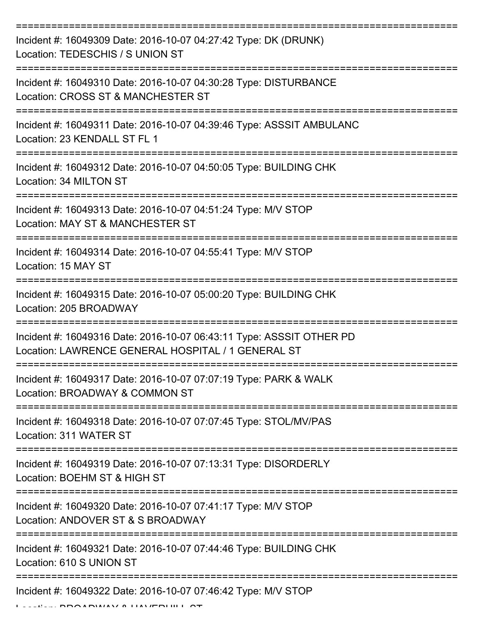| Incident #: 16049309 Date: 2016-10-07 04:27:42 Type: DK (DRUNK)<br>Location: TEDESCHIS / S UNION ST                        |
|----------------------------------------------------------------------------------------------------------------------------|
| Incident #: 16049310 Date: 2016-10-07 04:30:28 Type: DISTURBANCE<br>Location: CROSS ST & MANCHESTER ST                     |
| Incident #: 16049311 Date: 2016-10-07 04:39:46 Type: ASSSIT AMBULANC<br>Location: 23 KENDALL ST FL 1                       |
| Incident #: 16049312 Date: 2016-10-07 04:50:05 Type: BUILDING CHK<br>Location: 34 MILTON ST                                |
| Incident #: 16049313 Date: 2016-10-07 04:51:24 Type: M/V STOP<br>Location: MAY ST & MANCHESTER ST                          |
| :=============<br>Incident #: 16049314 Date: 2016-10-07 04:55:41 Type: M/V STOP<br>Location: 15 MAY ST                     |
| Incident #: 16049315 Date: 2016-10-07 05:00:20 Type: BUILDING CHK<br>Location: 205 BROADWAY                                |
| Incident #: 16049316 Date: 2016-10-07 06:43:11 Type: ASSSIT OTHER PD<br>Location: LAWRENCE GENERAL HOSPITAL / 1 GENERAL ST |
| Incident #: 16049317 Date: 2016-10-07 07:07:19 Type: PARK & WALK<br>Location: BROADWAY & COMMON ST                         |
| Incident #: 16049318 Date: 2016-10-07 07:07:45 Type: STOL/MV/PAS<br>Location: 311 WATER ST                                 |
| Incident #: 16049319 Date: 2016-10-07 07:13:31 Type: DISORDERLY<br>Location: BOEHM ST & HIGH ST                            |
| Incident #: 16049320 Date: 2016-10-07 07:41:17 Type: M/V STOP<br>Location: ANDOVER ST & S BROADWAY                         |
| Incident #: 16049321 Date: 2016-10-07 07:44:46 Type: BUILDING CHK<br>Location: 610 S UNION ST                              |
| Incident #: 16049322 Date: 2016-10-07 07:46:42 Type: M/V STOP                                                              |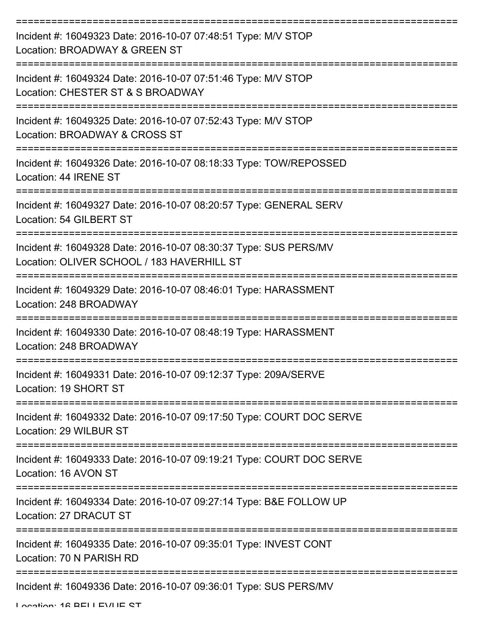| Incident #: 16049323 Date: 2016-10-07 07:48:51 Type: M/V STOP<br>Location: BROADWAY & GREEN ST                                       |
|--------------------------------------------------------------------------------------------------------------------------------------|
| Incident #: 16049324 Date: 2016-10-07 07:51:46 Type: M/V STOP<br>Location: CHESTER ST & S BROADWAY                                   |
| Incident #: 16049325 Date: 2016-10-07 07:52:43 Type: M/V STOP<br>Location: BROADWAY & CROSS ST                                       |
| Incident #: 16049326 Date: 2016-10-07 08:18:33 Type: TOW/REPOSSED<br>Location: 44 IRENE ST                                           |
| Incident #: 16049327 Date: 2016-10-07 08:20:57 Type: GENERAL SERV<br>Location: 54 GILBERT ST                                         |
| Incident #: 16049328 Date: 2016-10-07 08:30:37 Type: SUS PERS/MV<br>Location: OLIVER SCHOOL / 183 HAVERHILL ST                       |
| Incident #: 16049329 Date: 2016-10-07 08:46:01 Type: HARASSMENT<br>Location: 248 BROADWAY                                            |
| Incident #: 16049330 Date: 2016-10-07 08:48:19 Type: HARASSMENT<br>Location: 248 BROADWAY                                            |
| Incident #: 16049331 Date: 2016-10-07 09:12:37 Type: 209A/SERVE<br>Location: 19 SHORT ST                                             |
| Incident #: 16049332 Date: 2016-10-07 09:17:50 Type: COURT DOC SERVE<br>Location: 29 WILBUR ST                                       |
| Incident #: 16049333 Date: 2016-10-07 09:19:21 Type: COURT DOC SERVE<br>Location: 16 AVON ST                                         |
| ====================================<br>Incident #: 16049334 Date: 2016-10-07 09:27:14 Type: B&E FOLLOW UP<br>Location: 27 DRACUT ST |
| Incident #: 16049335 Date: 2016-10-07 09:35:01 Type: INVEST CONT<br>Location: 70 N PARISH RD                                         |
| Incident #: 16049336 Date: 2016-10-07 09:36:01 Type: SUS PERS/MV                                                                     |

Location: 16 BELLEVILLE CT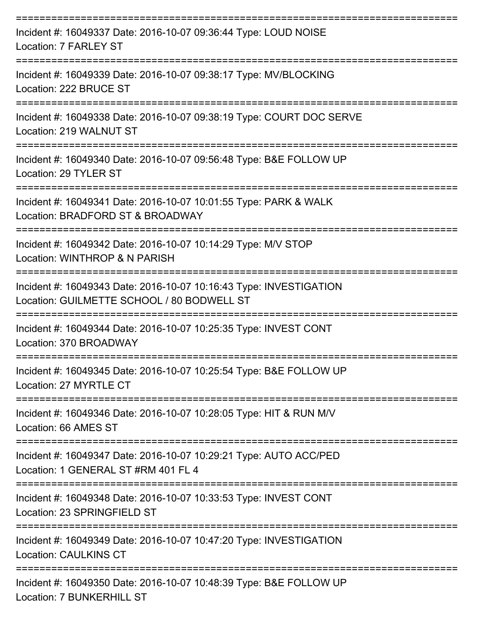| Incident #: 16049337 Date: 2016-10-07 09:36:44 Type: LOUD NOISE<br>Location: 7 FARLEY ST                         |
|------------------------------------------------------------------------------------------------------------------|
| Incident #: 16049339 Date: 2016-10-07 09:38:17 Type: MV/BLOCKING<br>Location: 222 BRUCE ST                       |
| Incident #: 16049338 Date: 2016-10-07 09:38:19 Type: COURT DOC SERVE<br>Location: 219 WALNUT ST                  |
| Incident #: 16049340 Date: 2016-10-07 09:56:48 Type: B&E FOLLOW UP<br>Location: 29 TYLER ST                      |
| Incident #: 16049341 Date: 2016-10-07 10:01:55 Type: PARK & WALK<br>Location: BRADFORD ST & BROADWAY             |
| Incident #: 16049342 Date: 2016-10-07 10:14:29 Type: M/V STOP<br>Location: WINTHROP & N PARISH                   |
| Incident #: 16049343 Date: 2016-10-07 10:16:43 Type: INVESTIGATION<br>Location: GUILMETTE SCHOOL / 80 BODWELL ST |
| Incident #: 16049344 Date: 2016-10-07 10:25:35 Type: INVEST CONT<br>Location: 370 BROADWAY                       |
| Incident #: 16049345 Date: 2016-10-07 10:25:54 Type: B&E FOLLOW UP<br>Location: 27 MYRTLE CT                     |
| Incident #: 16049346 Date: 2016-10-07 10:28:05 Type: HIT & RUN M/V<br>Location: 66 AMES ST                       |
| Incident #: 16049347 Date: 2016-10-07 10:29:21 Type: AUTO ACC/PED<br>Location: 1 GENERAL ST #RM 401 FL 4         |
| Incident #: 16049348 Date: 2016-10-07 10:33:53 Type: INVEST CONT<br>Location: 23 SPRINGFIELD ST                  |
| Incident #: 16049349 Date: 2016-10-07 10:47:20 Type: INVESTIGATION<br><b>Location: CAULKINS CT</b>               |
| Incident #: 16049350 Date: 2016-10-07 10:48:39 Type: B&E FOLLOW UP<br><b>Location: 7 BUNKERHILL ST</b>           |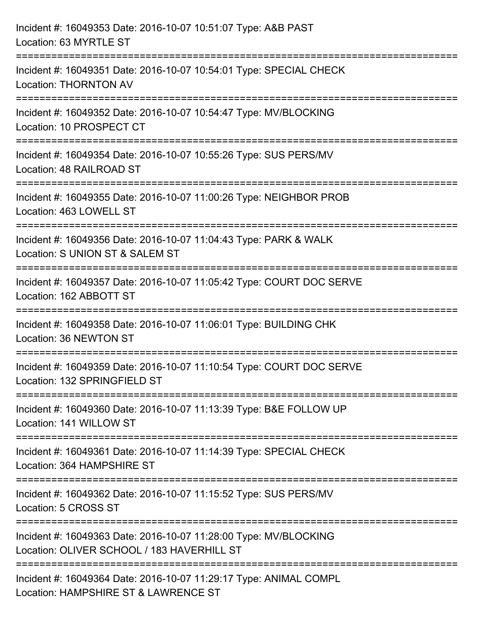| Incident #: 16049353 Date: 2016-10-07 10:51:07 Type: A&B PAST<br>Location: 63 MYRTLE ST                                           |
|-----------------------------------------------------------------------------------------------------------------------------------|
| Incident #: 16049351 Date: 2016-10-07 10:54:01 Type: SPECIAL CHECK<br><b>Location: THORNTON AV</b>                                |
| Incident #: 16049352 Date: 2016-10-07 10:54:47 Type: MV/BLOCKING<br>Location: 10 PROSPECT CT                                      |
| Incident #: 16049354 Date: 2016-10-07 10:55:26 Type: SUS PERS/MV<br>Location: 48 RAILROAD ST<br>:===================              |
| Incident #: 16049355 Date: 2016-10-07 11:00:26 Type: NEIGHBOR PROB<br>Location: 463 LOWELL ST                                     |
| Incident #: 16049356 Date: 2016-10-07 11:04:43 Type: PARK & WALK<br>Location: S UNION ST & SALEM ST                               |
| Incident #: 16049357 Date: 2016-10-07 11:05:42 Type: COURT DOC SERVE<br>Location: 162 ABBOTT ST                                   |
| Incident #: 16049358 Date: 2016-10-07 11:06:01 Type: BUILDING CHK<br>Location: 36 NEWTON ST                                       |
| Incident #: 16049359 Date: 2016-10-07 11:10:54 Type: COURT DOC SERVE<br>Location: 132 SPRINGFIELD ST                              |
| Incident #: 16049360 Date: 2016-10-07 11:13:39 Type: B&E FOLLOW UP<br>Location: 141 WILLOW ST                                     |
| Incident #: 16049361 Date: 2016-10-07 11:14:39 Type: SPECIAL CHECK<br>Location: 364 HAMPSHIRE ST                                  |
| =====================================<br>Incident #: 16049362 Date: 2016-10-07 11:15:52 Type: SUS PERS/MV<br>Location: 5 CROSS ST |
| Incident #: 16049363 Date: 2016-10-07 11:28:00 Type: MV/BLOCKING<br>Location: OLIVER SCHOOL / 183 HAVERHILL ST                    |
| Incident #: 16049364 Date: 2016-10-07 11:29:17 Type: ANIMAL COMPL<br>Location: HAMPSHIRE ST & LAWRENCE ST                         |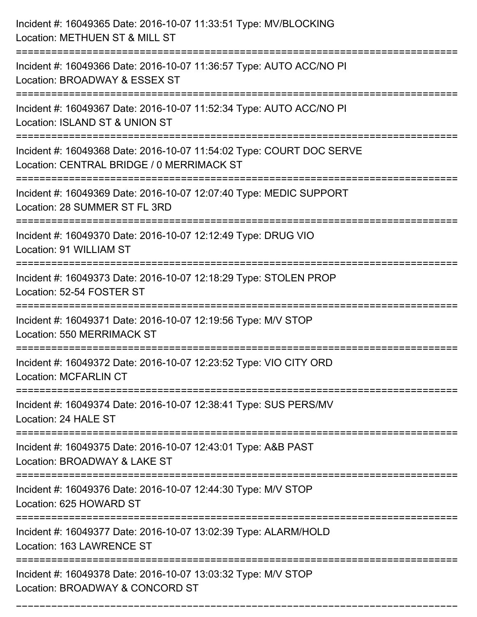| Incident #: 16049365 Date: 2016-10-07 11:33:51 Type: MV/BLOCKING<br>Location: METHUEN ST & MILL ST                                                               |
|------------------------------------------------------------------------------------------------------------------------------------------------------------------|
| :===================================<br>Incident #: 16049366 Date: 2016-10-07 11:36:57 Type: AUTO ACC/NO PI<br>Location: BROADWAY & ESSEX ST                     |
| Incident #: 16049367 Date: 2016-10-07 11:52:34 Type: AUTO ACC/NO PI<br>Location: ISLAND ST & UNION ST<br>:=================================                      |
| Incident #: 16049368 Date: 2016-10-07 11:54:02 Type: COURT DOC SERVE<br>Location: CENTRAL BRIDGE / 0 MERRIMACK ST                                                |
| Incident #: 16049369 Date: 2016-10-07 12:07:40 Type: MEDIC SUPPORT<br>Location: 28 SUMMER ST FL 3RD<br>================                                          |
| Incident #: 16049370 Date: 2016-10-07 12:12:49 Type: DRUG VIO<br>Location: 91 WILLIAM ST                                                                         |
| Incident #: 16049373 Date: 2016-10-07 12:18:29 Type: STOLEN PROP<br>Location: 52-54 FOSTER ST<br>=========================<br>================================== |
| Incident #: 16049371 Date: 2016-10-07 12:19:56 Type: M/V STOP<br>Location: 550 MERRIMACK ST                                                                      |
| Incident #: 16049372 Date: 2016-10-07 12:23:52 Type: VIO CITY ORD<br><b>Location: MCFARLIN CT</b>                                                                |
| Incident #: 16049374 Date: 2016-10-07 12:38:41 Type: SUS PERS/MV<br>Location: 24 HALE ST                                                                         |
| Incident #: 16049375 Date: 2016-10-07 12:43:01 Type: A&B PAST<br>Location: BROADWAY & LAKE ST                                                                    |
| Incident #: 16049376 Date: 2016-10-07 12:44:30 Type: M/V STOP<br>Location: 625 HOWARD ST                                                                         |
| Incident #: 16049377 Date: 2016-10-07 13:02:39 Type: ALARM/HOLD<br>Location: 163 LAWRENCE ST                                                                     |
| Incident #: 16049378 Date: 2016-10-07 13:03:32 Type: M/V STOP<br>Location: BROADWAY & CONCORD ST                                                                 |

===========================================================================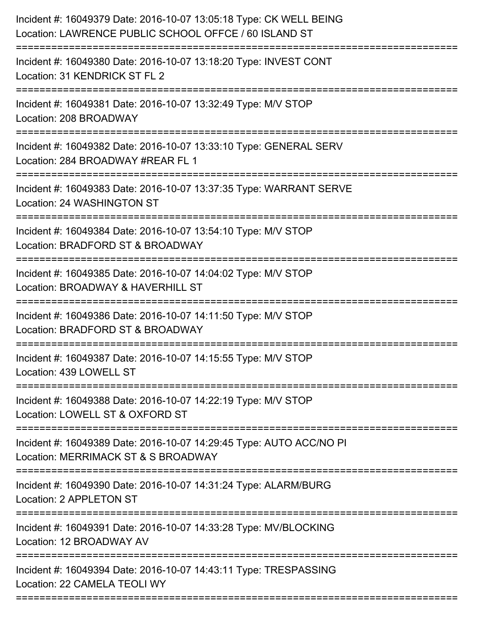| ================================== | Incident #: 16049379 Date: 2016-10-07 13:05:18 Type: CK WELL BEING<br>Location: LAWRENCE PUBLIC SCHOOL OFFCE / 60 ISLAND ST |
|------------------------------------|-----------------------------------------------------------------------------------------------------------------------------|
|                                    | Incident #: 16049380 Date: 2016-10-07 13:18:20 Type: INVEST CONT<br>Location: 31 KENDRICK ST FL 2                           |
|                                    | Incident #: 16049381 Date: 2016-10-07 13:32:49 Type: M/V STOP<br>Location: 208 BROADWAY                                     |
|                                    | Incident #: 16049382 Date: 2016-10-07 13:33:10 Type: GENERAL SERV<br>Location: 284 BROADWAY #REAR FL 1                      |
|                                    | Incident #: 16049383 Date: 2016-10-07 13:37:35 Type: WARRANT SERVE<br>Location: 24 WASHINGTON ST                            |
|                                    | Incident #: 16049384 Date: 2016-10-07 13:54:10 Type: M/V STOP<br>Location: BRADFORD ST & BROADWAY                           |
|                                    | Incident #: 16049385 Date: 2016-10-07 14:04:02 Type: M/V STOP<br>Location: BROADWAY & HAVERHILL ST                          |
|                                    | Incident #: 16049386 Date: 2016-10-07 14:11:50 Type: M/V STOP<br>Location: BRADFORD ST & BROADWAY                           |
|                                    | Incident #: 16049387 Date: 2016-10-07 14:15:55 Type: M/V STOP<br>Location: 439 LOWELL ST                                    |
|                                    | Incident #: 16049388 Date: 2016-10-07 14:22:19 Type: M/V STOP<br>Location: LOWELL ST & OXFORD ST                            |
|                                    | Incident #: 16049389 Date: 2016-10-07 14:29:45 Type: AUTO ACC/NO PI<br>Location: MERRIMACK ST & S BROADWAY                  |
|                                    | Incident #: 16049390 Date: 2016-10-07 14:31:24 Type: ALARM/BURG<br>Location: 2 APPLETON ST                                  |
|                                    | Incident #: 16049391 Date: 2016-10-07 14:33:28 Type: MV/BLOCKING<br>Location: 12 BROADWAY AV                                |
|                                    | Incident #: 16049394 Date: 2016-10-07 14:43:11 Type: TRESPASSING<br>Location: 22 CAMELA TEOLI WY                            |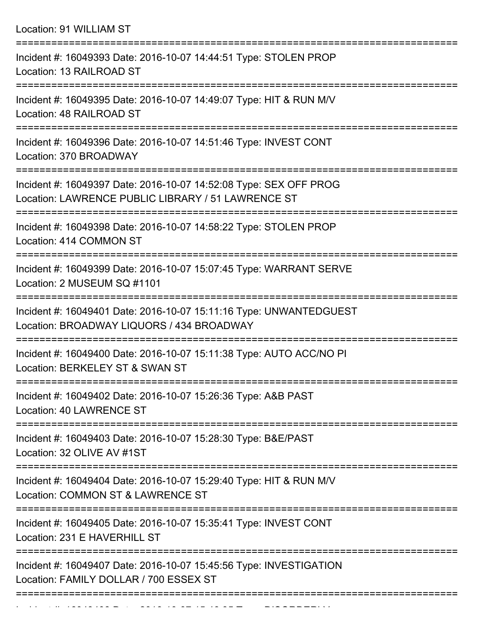| Location: 91 WILLIAM ST |  |  |  |  |
|-------------------------|--|--|--|--|
|-------------------------|--|--|--|--|

| Incident #: 16049393 Date: 2016-10-07 14:44:51 Type: STOLEN PROP<br>Location: 13 RAILROAD ST                            |
|-------------------------------------------------------------------------------------------------------------------------|
| Incident #: 16049395 Date: 2016-10-07 14:49:07 Type: HIT & RUN M/V<br>Location: 48 RAILROAD ST                          |
| Incident #: 16049396 Date: 2016-10-07 14:51:46 Type: INVEST CONT<br>Location: 370 BROADWAY                              |
| Incident #: 16049397 Date: 2016-10-07 14:52:08 Type: SEX OFF PROG<br>Location: LAWRENCE PUBLIC LIBRARY / 51 LAWRENCE ST |
| Incident #: 16049398 Date: 2016-10-07 14:58:22 Type: STOLEN PROP<br>Location: 414 COMMON ST                             |
| Incident #: 16049399 Date: 2016-10-07 15:07:45 Type: WARRANT SERVE<br>Location: 2 MUSEUM SQ #1101                       |
| Incident #: 16049401 Date: 2016-10-07 15:11:16 Type: UNWANTEDGUEST<br>Location: BROADWAY LIQUORS / 434 BROADWAY         |
| Incident #: 16049400 Date: 2016-10-07 15:11:38 Type: AUTO ACC/NO PI<br>Location: BERKELEY ST & SWAN ST                  |
| Incident #: 16049402 Date: 2016-10-07 15:26:36 Type: A&B PAST<br>Location: 40 LAWRENCE ST                               |
| Incident #: 16049403 Date: 2016-10-07 15:28:30 Type: B&E/PAST<br>Location: 32 OLIVE AV #1ST                             |
| Incident #: 16049404 Date: 2016-10-07 15:29:40 Type: HIT & RUN M/V<br>Location: COMMON ST & LAWRENCE ST                 |
| Incident #: 16049405 Date: 2016-10-07 15:35:41 Type: INVEST CONT<br>Location: 231 E HAVERHILL ST                        |
| Incident #: 16049407 Date: 2016-10-07 15:45:56 Type: INVESTIGATION<br>Location: FAMILY DOLLAR / 700 ESSEX ST            |
|                                                                                                                         |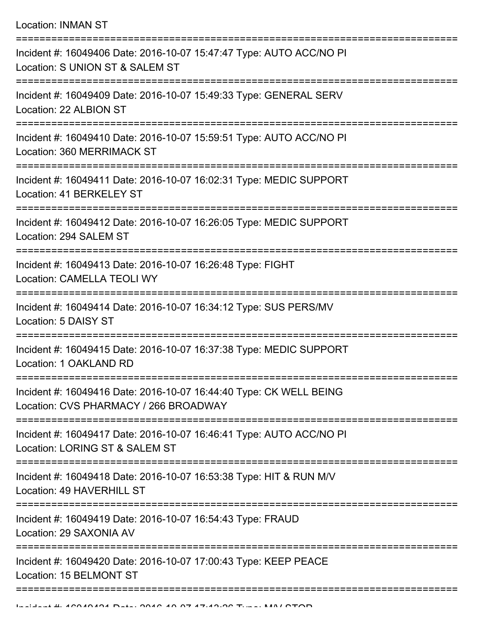| Incident #: 16049406 Date: 2016-10-07 15:47:47 Type: AUTO ACC/NO PI<br>Location: S UNION ST & SALEM ST                    |
|---------------------------------------------------------------------------------------------------------------------------|
| Incident #: 16049409 Date: 2016-10-07 15:49:33 Type: GENERAL SERV<br>Location: 22 ALBION ST                               |
| Incident #: 16049410 Date: 2016-10-07 15:59:51 Type: AUTO ACC/NO PI<br>Location: 360 MERRIMACK ST                         |
| Incident #: 16049411 Date: 2016-10-07 16:02:31 Type: MEDIC SUPPORT<br>Location: 41 BERKELEY ST                            |
| Incident #: 16049412 Date: 2016-10-07 16:26:05 Type: MEDIC SUPPORT<br>Location: 294 SALEM ST                              |
| Incident #: 16049413 Date: 2016-10-07 16:26:48 Type: FIGHT<br><b>Location: CAMELLA TEOLI WY</b>                           |
| Incident #: 16049414 Date: 2016-10-07 16:34:12 Type: SUS PERS/MV<br>Location: 5 DAISY ST                                  |
| Incident #: 16049415 Date: 2016-10-07 16:37:38 Type: MEDIC SUPPORT<br>Location: 1 OAKLAND RD                              |
| Incident #: 16049416 Date: 2016-10-07 16:44:40 Type: CK WELL BEING<br>Location: CVS PHARMACY / 266 BROADWAY               |
| Incident #: 16049417 Date: 2016-10-07 16:46:41 Type: AUTO ACC/NO PI<br>Location: LORING ST & SALEM ST                     |
| ===============<br>Incident #: 16049418 Date: 2016-10-07 16:53:38 Type: HIT & RUN M/V<br><b>Location: 49 HAVERHILL ST</b> |
| Incident #: 16049419 Date: 2016-10-07 16:54:43 Type: FRAUD<br>Location: 29 SAXONIA AV                                     |
| Incident #: 16049420 Date: 2016-10-07 17:00:43 Type: KEEP PEACE<br><b>Location: 15 BELMONT ST</b>                         |
|                                                                                                                           |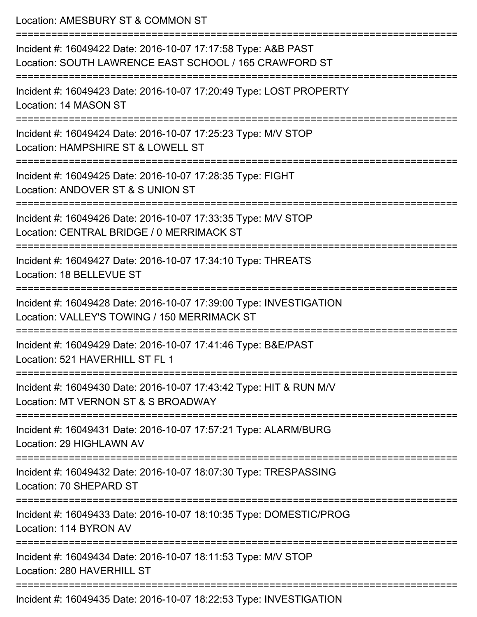| Location: AMESBURY ST & COMMON ST                                                                                                |
|----------------------------------------------------------------------------------------------------------------------------------|
| Incident #: 16049422 Date: 2016-10-07 17:17:58 Type: A&B PAST<br>Location: SOUTH LAWRENCE EAST SCHOOL / 165 CRAWFORD ST          |
| Incident #: 16049423 Date: 2016-10-07 17:20:49 Type: LOST PROPERTY<br>Location: 14 MASON ST                                      |
| Incident #: 16049424 Date: 2016-10-07 17:25:23 Type: M/V STOP<br>Location: HAMPSHIRE ST & LOWELL ST                              |
| Incident #: 16049425 Date: 2016-10-07 17:28:35 Type: FIGHT<br>Location: ANDOVER ST & S UNION ST                                  |
| Incident #: 16049426 Date: 2016-10-07 17:33:35 Type: M/V STOP<br>Location: CENTRAL BRIDGE / 0 MERRIMACK ST                       |
| ====================================<br>Incident #: 16049427 Date: 2016-10-07 17:34:10 Type: THREATS<br>Location: 18 BELLEVUE ST |
| Incident #: 16049428 Date: 2016-10-07 17:39:00 Type: INVESTIGATION<br>Location: VALLEY'S TOWING / 150 MERRIMACK ST               |
| Incident #: 16049429 Date: 2016-10-07 17:41:46 Type: B&E/PAST<br>Location: 521 HAVERHILL ST FL 1                                 |
| Incident #: 16049430 Date: 2016-10-07 17:43:42 Type: HIT & RUN M/V<br>Location: MT VERNON ST & S BROADWAY                        |
| Incident #: 16049431 Date: 2016-10-07 17:57:21 Type: ALARM/BURG<br>Location: 29 HIGHLAWN AV                                      |
| Incident #: 16049432 Date: 2016-10-07 18:07:30 Type: TRESPASSING<br>Location: 70 SHEPARD ST                                      |
| Incident #: 16049433 Date: 2016-10-07 18:10:35 Type: DOMESTIC/PROG<br>Location: 114 BYRON AV                                     |
| Incident #: 16049434 Date: 2016-10-07 18:11:53 Type: M/V STOP<br>Location: 280 HAVERHILL ST                                      |
|                                                                                                                                  |

Incident #: 16049435 Date: 2016-10-07 18:22:53 Type: INVESTIGATION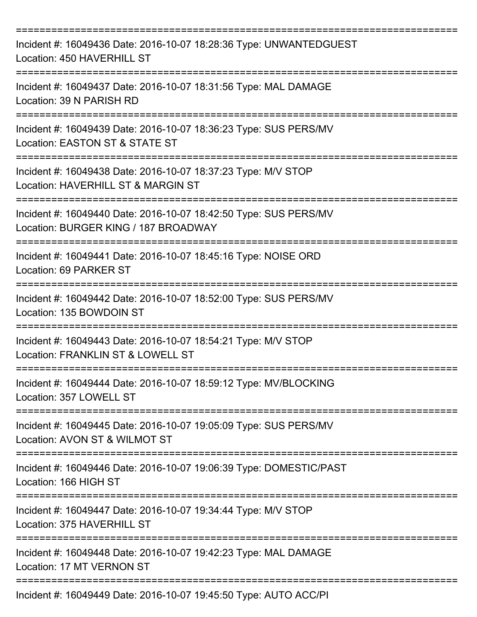| Incident #: 16049436 Date: 2016-10-07 18:28:36 Type: UNWANTEDGUEST<br>Location: 450 HAVERHILL ST                                     |
|--------------------------------------------------------------------------------------------------------------------------------------|
| Incident #: 16049437 Date: 2016-10-07 18:31:56 Type: MAL DAMAGE<br>Location: 39 N PARISH RD                                          |
| Incident #: 16049439 Date: 2016-10-07 18:36:23 Type: SUS PERS/MV<br>Location: EASTON ST & STATE ST                                   |
| Incident #: 16049438 Date: 2016-10-07 18:37:23 Type: M/V STOP<br>Location: HAVERHILL ST & MARGIN ST                                  |
| Incident #: 16049440 Date: 2016-10-07 18:42:50 Type: SUS PERS/MV<br>Location: BURGER KING / 187 BROADWAY                             |
| =======================<br>Incident #: 16049441 Date: 2016-10-07 18:45:16 Type: NOISE ORD<br>Location: 69 PARKER ST                  |
| Incident #: 16049442 Date: 2016-10-07 18:52:00 Type: SUS PERS/MV<br>Location: 135 BOWDOIN ST                                         |
| Incident #: 16049443 Date: 2016-10-07 18:54:21 Type: M/V STOP<br>Location: FRANKLIN ST & LOWELL ST                                   |
| ===============<br>Incident #: 16049444 Date: 2016-10-07 18:59:12 Type: MV/BLOCKING<br>Location: 357 LOWELL ST                       |
| Incident #: 16049445 Date: 2016-10-07 19:05:09 Type: SUS PERS/MV<br>Location: AVON ST & WILMOT ST                                    |
| Incident #: 16049446 Date: 2016-10-07 19:06:39 Type: DOMESTIC/PAST<br>Location: 166 HIGH ST                                          |
| =====================================<br>Incident #: 16049447 Date: 2016-10-07 19:34:44 Type: M/V STOP<br>Location: 375 HAVERHILL ST |
| Incident #: 16049448 Date: 2016-10-07 19:42:23 Type: MAL DAMAGE<br>Location: 17 MT VERNON ST                                         |
| Incident #: 16049449 Date: 2016-10-07 19:45:50 Type: AUTO ACC/PI                                                                     |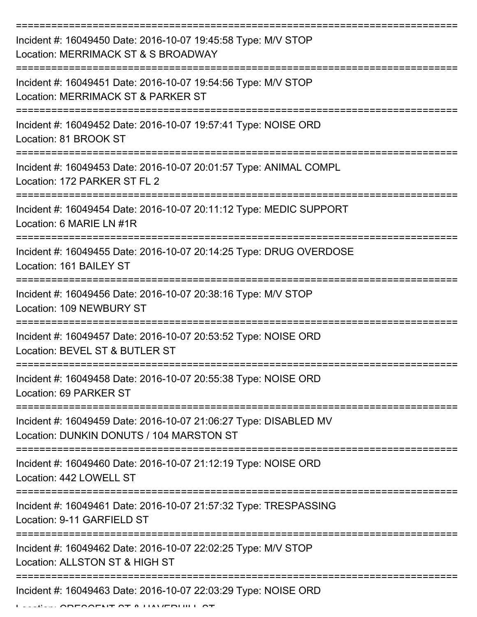| Incident #: 16049450 Date: 2016-10-07 19:45:58 Type: M/V STOP<br>Location: MERRIMACK ST & S BROADWAY           |
|----------------------------------------------------------------------------------------------------------------|
| Incident #: 16049451 Date: 2016-10-07 19:54:56 Type: M/V STOP<br>Location: MERRIMACK ST & PARKER ST            |
| Incident #: 16049452 Date: 2016-10-07 19:57:41 Type: NOISE ORD<br>Location: 81 BROOK ST                        |
| Incident #: 16049453 Date: 2016-10-07 20:01:57 Type: ANIMAL COMPL<br>Location: 172 PARKER ST FL 2              |
| Incident #: 16049454 Date: 2016-10-07 20:11:12 Type: MEDIC SUPPORT<br>Location: 6 MARIE LN #1R                 |
| Incident #: 16049455 Date: 2016-10-07 20:14:25 Type: DRUG OVERDOSE<br>Location: 161 BAILEY ST                  |
| Incident #: 16049456 Date: 2016-10-07 20:38:16 Type: M/V STOP<br>Location: 109 NEWBURY ST                      |
| Incident #: 16049457 Date: 2016-10-07 20:53:52 Type: NOISE ORD<br>Location: BEVEL ST & BUTLER ST               |
| Incident #: 16049458 Date: 2016-10-07 20:55:38 Type: NOISE ORD<br>Location: 69 PARKER ST<br>================== |
| Incident #: 16049459 Date: 2016-10-07 21:06:27 Type: DISABLED MV<br>Location: DUNKIN DONUTS / 104 MARSTON ST   |
| Incident #: 16049460 Date: 2016-10-07 21:12:19 Type: NOISE ORD<br>Location: 442 LOWELL ST                      |
| Incident #: 16049461 Date: 2016-10-07 21:57:32 Type: TRESPASSING<br>Location: 9-11 GARFIELD ST                 |
| Incident #: 16049462 Date: 2016-10-07 22:02:25 Type: M/V STOP<br>Location: ALLSTON ST & HIGH ST                |
| Incident #: 16049463 Date: 2016-10-07 22:03:29 Type: NOISE ORD                                                 |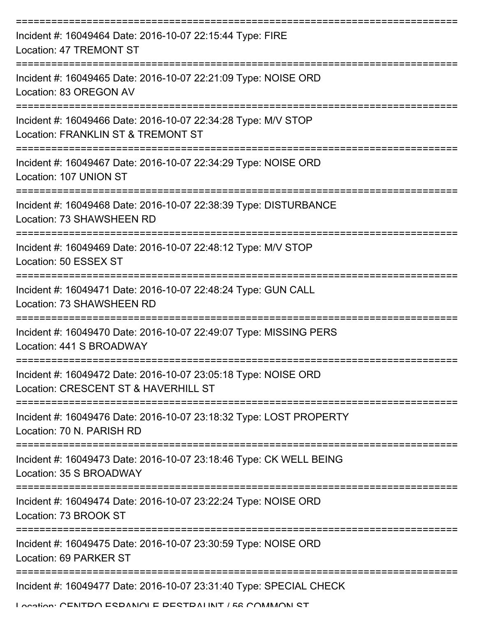| Incident #: 16049464 Date: 2016-10-07 22:15:44 Type: FIRE<br>Location: 47 TREMONT ST                   |
|--------------------------------------------------------------------------------------------------------|
| Incident #: 16049465 Date: 2016-10-07 22:21:09 Type: NOISE ORD<br>Location: 83 OREGON AV               |
| Incident #: 16049466 Date: 2016-10-07 22:34:28 Type: M/V STOP<br>Location: FRANKLIN ST & TREMONT ST    |
| Incident #: 16049467 Date: 2016-10-07 22:34:29 Type: NOISE ORD<br>Location: 107 UNION ST               |
| Incident #: 16049468 Date: 2016-10-07 22:38:39 Type: DISTURBANCE<br>Location: 73 SHAWSHEEN RD          |
| Incident #: 16049469 Date: 2016-10-07 22:48:12 Type: M/V STOP<br>Location: 50 ESSEX ST                 |
| Incident #: 16049471 Date: 2016-10-07 22:48:24 Type: GUN CALL<br>Location: 73 SHAWSHEEN RD             |
| Incident #: 16049470 Date: 2016-10-07 22:49:07 Type: MISSING PERS<br>Location: 441 S BROADWAY          |
| Incident #: 16049472 Date: 2016-10-07 23:05:18 Type: NOISE ORD<br>Location: CRESCENT ST & HAVERHILL ST |
| Incident #: 16049476 Date: 2016-10-07 23:18:32 Type: LOST PROPERTY<br>Location: 70 N. PARISH RD        |
| Incident #: 16049473 Date: 2016-10-07 23:18:46 Type: CK WELL BEING<br>Location: 35 S BROADWAY          |
| Incident #: 16049474 Date: 2016-10-07 23:22:24 Type: NOISE ORD<br>Location: 73 BROOK ST                |
| Incident #: 16049475 Date: 2016-10-07 23:30:59 Type: NOISE ORD<br>Location: 69 PARKER ST               |
| Incident #: 16049477 Date: 2016-10-07 23:31:40 Type: SPECIAL CHECK                                     |

Location: CENTRO ESPANIOLE RESTRALINT / 56 COMMON ST